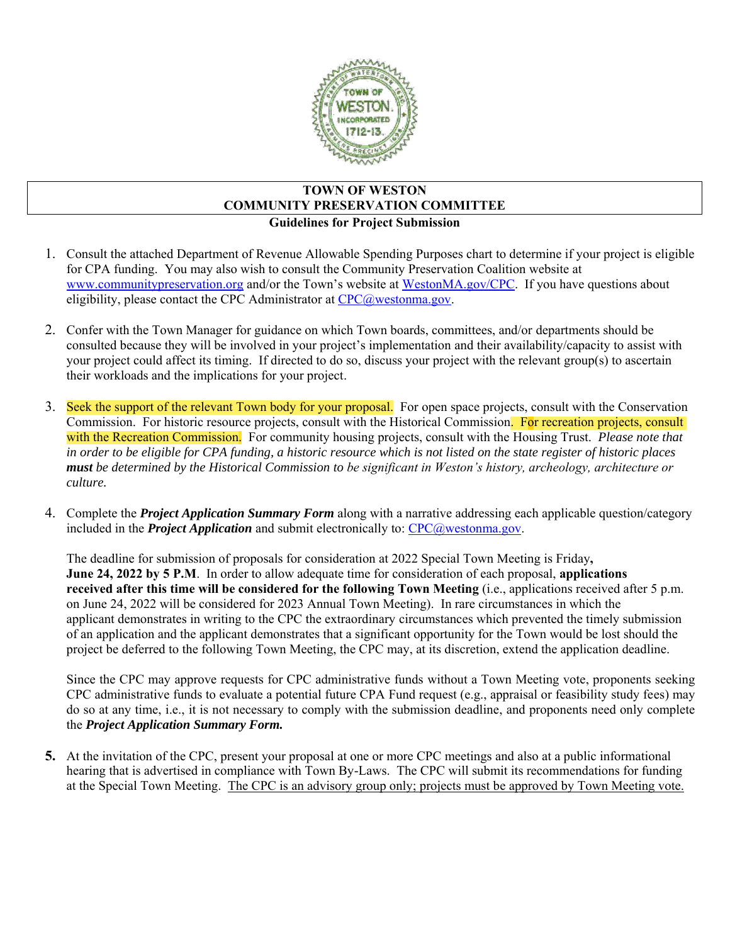

### **TOWN OF WESTON COMMUNITY PRESERVATION COMMITTEE Guidelines for Project Submission**

- 1. Consult the attached Department of Revenue Allowable Spending Purposes chart to determine if your project is eligible for CPA funding. You may also wish to consult the Community Preservation Coalition website at [www.communitypreservation.org](http://www.communitypreservation.org/) and/or the Town's website at [WestonMA.gov/CPC.](https://www.westonma.gov/434/Community-Preservation-Committee) If you have questions about eligibility, please contact the CPC Administrator at [CPC@westonma.gov.](mailto:CPC@westonma.gov)
- 2. Confer with the Town Manager for guidance on which Town boards, committees, and/or departments should be consulted because they will be involved in your project's implementation and their availability/capacity to assist with your project could affect its timing. If directed to do so, discuss your project with the relevant group(s) to ascertain their workloads and the implications for your project.
- 3. Seek the support of the relevant Town body for your proposal. For open space projects, consult with the Conservation Commission. For historic resource projects, consult with the Historical Commission. For recreation projects, consult with the Recreation Commission. For community housing projects, consult with the Housing Trust. *Please note that in order to be eligible for CPA funding, a historic resource which is not listed on the state register of historic places must be determined by the Historical Commission to be significant in Weston's history, archeology, architecture or culture.*
- 4. Complete the *Project Application Summary Form* along with a narrative addressing each applicable question/category included in the *Project Application* and submit electronically to: [CPC@westonma.gov.](mailto:CPC@westonma.gov)

The deadline for submission of proposals for consideration at 2022 Special Town Meeting is Friday**, June 24, 2022 by 5 P.M**. In order to allow adequate time for consideration of each proposal, **applications received after this time will be considered for the following Town Meeting** (i.e., applications received after 5 p.m. on June 24, 2022 will be considered for 2023 Annual Town Meeting). In rare circumstances in which the applicant demonstrates in writing to the CPC the extraordinary circumstances which prevented the timely submission of an application and the applicant demonstrates that a significant opportunity for the Town would be lost should the project be deferred to the following Town Meeting, the CPC may, at its discretion, extend the application deadline.

Since the CPC may approve requests for CPC administrative funds without a Town Meeting vote, proponents seeking CPC administrative funds to evaluate a potential future CPA Fund request (e.g., appraisal or feasibility study fees) may do so at any time, i.e., it is not necessary to comply with the submission deadline, and proponents need only complete the *Project Application Summary Form.*

**5.** At the invitation of the CPC, present your proposal at one or more CPC meetings and also at a public informational hearing that is advertised in compliance with Town By-Laws. The CPC will submit its recommendations for funding at the Special Town Meeting. The CPC is an advisory group only; projects must be approved by Town Meeting vote.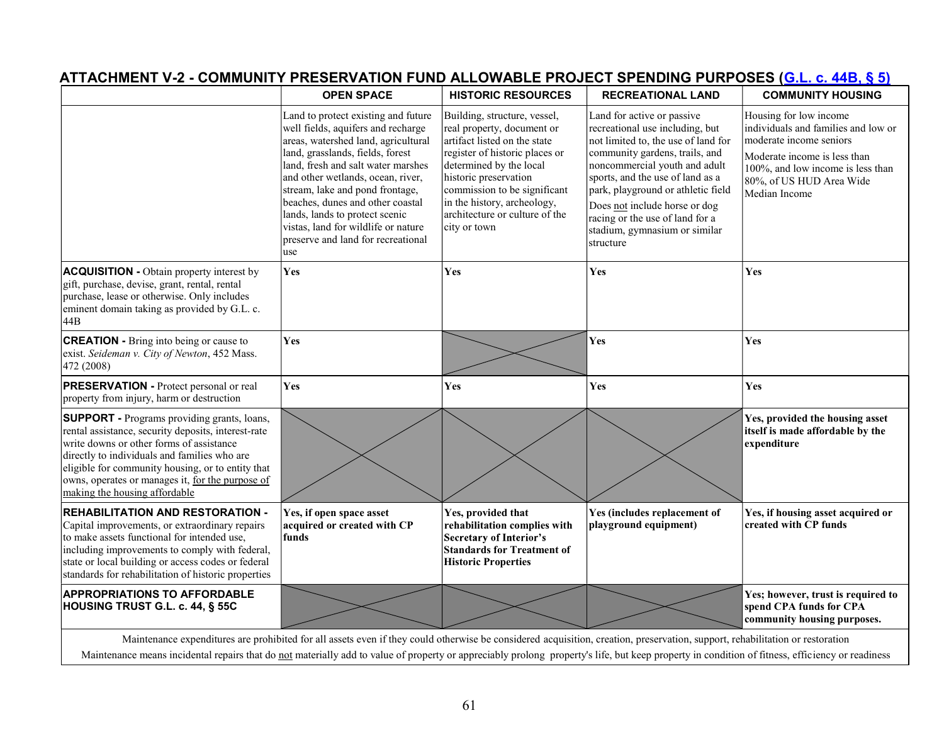| <b>OPEN SPACE</b><br><b>HISTORIC RESOURCES</b><br><b>RECREATIONAL LAND</b><br><b>COMMUNITY HOUSING</b><br>Land to protect existing and future<br>Building, structure, vessel,<br>Land for active or passive<br>Housing for low income<br>individuals and families and low or<br>well fields, aquifers and recharge<br>real property, document or<br>recreational use including, but<br>areas, watershed land, agricultural<br>artifact listed on the state<br>not limited to, the use of land for<br>moderate income seniors<br>land, grasslands, fields, forest<br>community gardens, trails, and<br>register of historic places or<br>Moderate income is less than<br>land, fresh and salt water marshes<br>determined by the local<br>noncommercial youth and adult<br>100%, and low income is less than<br>and other wetlands, ocean, river,<br>historic preservation<br>sports, and the use of land as a<br>80%, of US HUD Area Wide<br>stream, lake and pond frontage,<br>commission to be significant<br>park, playground or athletic field<br>Median Income<br>in the history, archeology,<br>beaches, dunes and other coastal<br>Does not include horse or dog<br>architecture or culture of the<br>lands, lands to protect scenic<br>racing or the use of land for a<br>vistas, land for wildlife or nature<br>city or town<br>stadium, gymnasium or similar<br>preserve and land for recreational<br>structure<br>use<br>Yes<br><b>Yes</b><br>Yes<br>Yes<br>Yes<br>Yes<br>Yes<br>Yes<br>Yes<br>Yes<br>Yes<br>Yes, provided the housing asset<br>itself is made affordable by the<br>expenditure<br>Yes, provided that<br>Yes, if open space asset<br>Yes (includes replacement of<br>Yes, if housing asset acquired or<br>acquired or created with CP<br>rehabilitation complies with<br>playground equipment)<br>created with CP funds<br>funds<br><b>Secretary of Interior's</b><br><b>Standards for Treatment of</b><br><b>Historic Properties</b><br>Yes; however, trust is required to<br>spend CPA funds for CPA<br>community housing purposes.<br>Maintenance expenditures are prohibited for all assets even if they could otherwise be considered acquisition, creation, preservation, support, rehabilitation or restoration<br>Maintenance means incidental repairs that do not materially add to value of property or appreciably prolong property's life, but keep property in condition of fitness, efficiency or readiness<br>61 |  |  | ATTACHMENT V-2 - COMMUNITY PRESERVATION FUND ALLOWABLE PROJECT SPENDING PURPOSES ( <u>G.L. c. 44B, § 5)</u> |  |  |  |  |  |
|------------------------------------------------------------------------------------------------------------------------------------------------------------------------------------------------------------------------------------------------------------------------------------------------------------------------------------------------------------------------------------------------------------------------------------------------------------------------------------------------------------------------------------------------------------------------------------------------------------------------------------------------------------------------------------------------------------------------------------------------------------------------------------------------------------------------------------------------------------------------------------------------------------------------------------------------------------------------------------------------------------------------------------------------------------------------------------------------------------------------------------------------------------------------------------------------------------------------------------------------------------------------------------------------------------------------------------------------------------------------------------------------------------------------------------------------------------------------------------------------------------------------------------------------------------------------------------------------------------------------------------------------------------------------------------------------------------------------------------------------------------------------------------------------------------------------------------------------------------------------------------------------------------------------------------------------------------------------------------------------------------------------------------------------------------------------------------------------------------------------------------------------------------------------------------------------------------------------------------------------------------------------------------------------------------------------------------------------------------------------------------------------------------------------------------------------------------|--|--|-------------------------------------------------------------------------------------------------------------|--|--|--|--|--|
|                                                                                                                                                                                                                                                                                                                                                                                                                                                                                                                                                                                                                                                                                                                                                                                                                                                                                                                                                                                                                                                                                                                                                                                                                                                                                                                                                                                                                                                                                                                                                                                                                                                                                                                                                                                                                                                                                                                                                                                                                                                                                                                                                                                                                                                                                                                                                                                                                                                            |  |  |                                                                                                             |  |  |  |  |  |
| <b>ACQUISITION</b> - Obtain property interest by<br>gift, purchase, devise, grant, rental, rental<br>purchase, lease or otherwise. Only includes<br>eminent domain taking as provided by G.L. c.<br>44B<br><b>CREATION</b> - Bring into being or cause to<br>exist. Seideman v. City of Newton, 452 Mass.<br>472 (2008)<br><b>PRESERVATION</b> - Protect personal or real<br>property from injury, harm or destruction<br><b>SUPPORT</b> - Programs providing grants, loans,<br>rental assistance, security deposits, interest-rate<br>write downs or other forms of assistance<br>directly to individuals and families who are<br>eligible for community housing, or to entity that<br>owns, operates or manages it, for the purpose of<br>making the housing affordable<br><b>REHABILITATION AND RESTORATION -</b><br>Capital improvements, or extraordinary repairs<br>to make assets functional for intended use,<br>including improvements to comply with federal,<br>state or local building or access codes or federal<br>standards for rehabilitation of historic properties<br><b>APPROPRIATIONS TO AFFORDABLE</b><br><b>HOUSING TRUST G.L. c. 44, § 55C</b>                                                                                                                                                                                                                                                                                                                                                                                                                                                                                                                                                                                                                                                                                                                                                                                                                                                                                                                                                                                                                                                                                                                                                                                                                                                                                      |  |  |                                                                                                             |  |  |  |  |  |
|                                                                                                                                                                                                                                                                                                                                                                                                                                                                                                                                                                                                                                                                                                                                                                                                                                                                                                                                                                                                                                                                                                                                                                                                                                                                                                                                                                                                                                                                                                                                                                                                                                                                                                                                                                                                                                                                                                                                                                                                                                                                                                                                                                                                                                                                                                                                                                                                                                                            |  |  |                                                                                                             |  |  |  |  |  |
|                                                                                                                                                                                                                                                                                                                                                                                                                                                                                                                                                                                                                                                                                                                                                                                                                                                                                                                                                                                                                                                                                                                                                                                                                                                                                                                                                                                                                                                                                                                                                                                                                                                                                                                                                                                                                                                                                                                                                                                                                                                                                                                                                                                                                                                                                                                                                                                                                                                            |  |  |                                                                                                             |  |  |  |  |  |
|                                                                                                                                                                                                                                                                                                                                                                                                                                                                                                                                                                                                                                                                                                                                                                                                                                                                                                                                                                                                                                                                                                                                                                                                                                                                                                                                                                                                                                                                                                                                                                                                                                                                                                                                                                                                                                                                                                                                                                                                                                                                                                                                                                                                                                                                                                                                                                                                                                                            |  |  |                                                                                                             |  |  |  |  |  |
|                                                                                                                                                                                                                                                                                                                                                                                                                                                                                                                                                                                                                                                                                                                                                                                                                                                                                                                                                                                                                                                                                                                                                                                                                                                                                                                                                                                                                                                                                                                                                                                                                                                                                                                                                                                                                                                                                                                                                                                                                                                                                                                                                                                                                                                                                                                                                                                                                                                            |  |  |                                                                                                             |  |  |  |  |  |
|                                                                                                                                                                                                                                                                                                                                                                                                                                                                                                                                                                                                                                                                                                                                                                                                                                                                                                                                                                                                                                                                                                                                                                                                                                                                                                                                                                                                                                                                                                                                                                                                                                                                                                                                                                                                                                                                                                                                                                                                                                                                                                                                                                                                                                                                                                                                                                                                                                                            |  |  |                                                                                                             |  |  |  |  |  |
|                                                                                                                                                                                                                                                                                                                                                                                                                                                                                                                                                                                                                                                                                                                                                                                                                                                                                                                                                                                                                                                                                                                                                                                                                                                                                                                                                                                                                                                                                                                                                                                                                                                                                                                                                                                                                                                                                                                                                                                                                                                                                                                                                                                                                                                                                                                                                                                                                                                            |  |  |                                                                                                             |  |  |  |  |  |
|                                                                                                                                                                                                                                                                                                                                                                                                                                                                                                                                                                                                                                                                                                                                                                                                                                                                                                                                                                                                                                                                                                                                                                                                                                                                                                                                                                                                                                                                                                                                                                                                                                                                                                                                                                                                                                                                                                                                                                                                                                                                                                                                                                                                                                                                                                                                                                                                                                                            |  |  |                                                                                                             |  |  |  |  |  |
|                                                                                                                                                                                                                                                                                                                                                                                                                                                                                                                                                                                                                                                                                                                                                                                                                                                                                                                                                                                                                                                                                                                                                                                                                                                                                                                                                                                                                                                                                                                                                                                                                                                                                                                                                                                                                                                                                                                                                                                                                                                                                                                                                                                                                                                                                                                                                                                                                                                            |  |  |                                                                                                             |  |  |  |  |  |
|                                                                                                                                                                                                                                                                                                                                                                                                                                                                                                                                                                                                                                                                                                                                                                                                                                                                                                                                                                                                                                                                                                                                                                                                                                                                                                                                                                                                                                                                                                                                                                                                                                                                                                                                                                                                                                                                                                                                                                                                                                                                                                                                                                                                                                                                                                                                                                                                                                                            |  |  |                                                                                                             |  |  |  |  |  |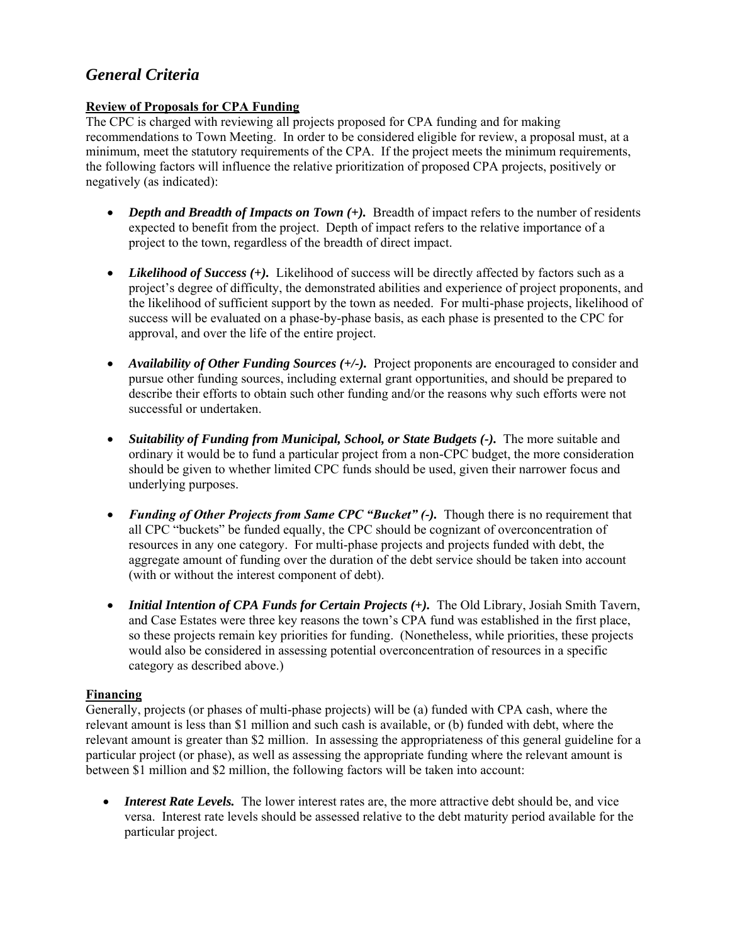# *General Criteria*

### **Review of Proposals for CPA Funding**

The CPC is charged with reviewing all projects proposed for CPA funding and for making recommendations to Town Meeting. In order to be considered eligible for review, a proposal must, at a minimum, meet the statutory requirements of the CPA. If the project meets the minimum requirements, the following factors will influence the relative prioritization of proposed CPA projects, positively or negatively (as indicated):

- *Depth and Breadth of Impacts on Town* (+). Breadth of impact refers to the number of residents expected to benefit from the project. Depth of impact refers to the relative importance of a project to the town, regardless of the breadth of direct impact.
- *Likelihood of Success* (+). Likelihood of success will be directly affected by factors such as a project's degree of difficulty, the demonstrated abilities and experience of project proponents, and the likelihood of sufficient support by the town as needed. For multi-phase projects, likelihood of success will be evaluated on a phase-by-phase basis, as each phase is presented to the CPC for approval, and over the life of the entire project.
- *Availability of Other Funding Sources (+/-)*. Project proponents are encouraged to consider and pursue other funding sources, including external grant opportunities, and should be prepared to describe their efforts to obtain such other funding and/or the reasons why such efforts were not successful or undertaken.
- *Suitability of Funding from Municipal, School, or State Budgets (-).* The more suitable and ordinary it would be to fund a particular project from a non-CPC budget, the more consideration should be given to whether limited CPC funds should be used, given their narrower focus and underlying purposes.
- *Funding of Other Projects from Same CPC "Bucket" (-)*. Though there is no requirement that all CPC "buckets" be funded equally, the CPC should be cognizant of overconcentration of resources in any one category. For multi-phase projects and projects funded with debt, the aggregate amount of funding over the duration of the debt service should be taken into account (with or without the interest component of debt).
- *Initial Intention of CPA Funds for Certain Projects (+).* The Old Library, Josiah Smith Tavern, and Case Estates were three key reasons the town's CPA fund was established in the first place, so these projects remain key priorities for funding. (Nonetheless, while priorities, these projects would also be considered in assessing potential overconcentration of resources in a specific category as described above.)

## **Financing**

Generally, projects (or phases of multi-phase projects) will be (a) funded with CPA cash, where the relevant amount is less than \$1 million and such cash is available, or (b) funded with debt, where the relevant amount is greater than \$2 million. In assessing the appropriateness of this general guideline for a particular project (or phase), as well as assessing the appropriate funding where the relevant amount is between \$1 million and \$2 million, the following factors will be taken into account:

• *Interest Rate Levels*. The lower interest rates are, the more attractive debt should be, and vice versa. Interest rate levels should be assessed relative to the debt maturity period available for the particular project.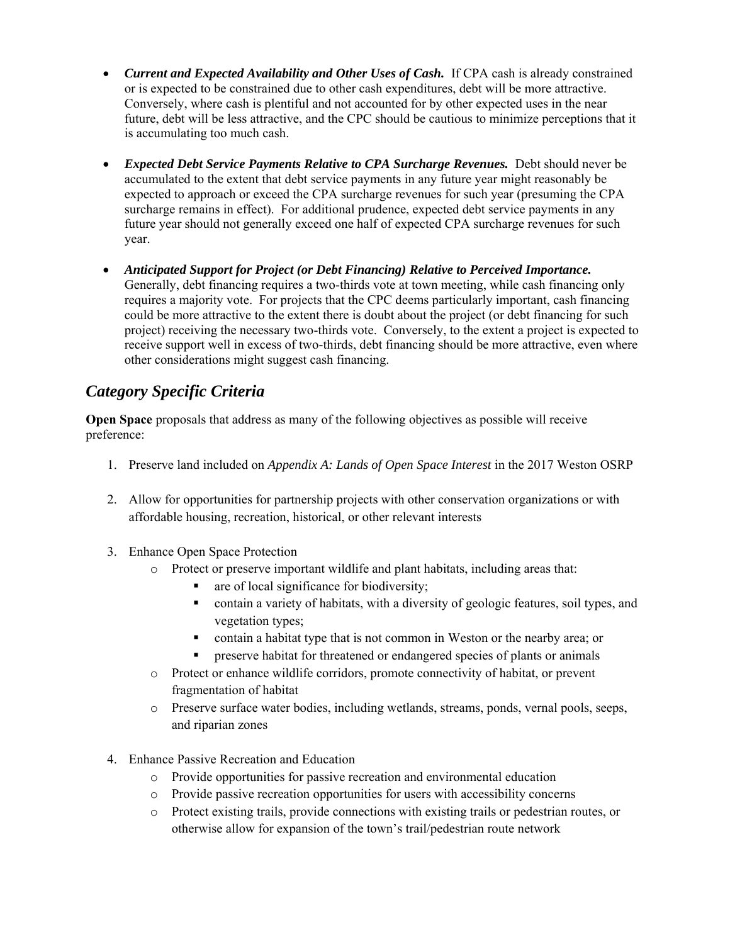- *Current and Expected Availability and Other Uses of Cash.* If CPA cash is already constrained or is expected to be constrained due to other cash expenditures, debt will be more attractive. Conversely, where cash is plentiful and not accounted for by other expected uses in the near future, debt will be less attractive, and the CPC should be cautious to minimize perceptions that it is accumulating too much cash.
- *Expected Debt Service Payments Relative to CPA Surcharge Revenues.* Debt should never be accumulated to the extent that debt service payments in any future year might reasonably be expected to approach or exceed the CPA surcharge revenues for such year (presuming the CPA surcharge remains in effect). For additional prudence, expected debt service payments in any future year should not generally exceed one half of expected CPA surcharge revenues for such year.
- *Anticipated Support for Project (or Debt Financing) Relative to Perceived Importance.* Generally, debt financing requires a two-thirds vote at town meeting, while cash financing only requires a majority vote. For projects that the CPC deems particularly important, cash financing could be more attractive to the extent there is doubt about the project (or debt financing for such project) receiving the necessary two-thirds vote. Conversely, to the extent a project is expected to receive support well in excess of two-thirds, debt financing should be more attractive, even where other considerations might suggest cash financing.

# *Category Specific Criteria*

**Open Space** proposals that address as many of the following objectives as possible will receive preference:

- 1. Preserve land included on *Appendix A: Lands of Open Space Interest* in the 2017 Weston OSRP
- 2. Allow for opportunities for partnership projects with other conservation organizations or with affordable housing, recreation, historical, or other relevant interests
- 3. Enhance Open Space Protection
	- o Protect or preserve important wildlife and plant habitats, including areas that:
		- are of local significance for biodiversity;
		- contain a variety of habitats, with a diversity of geologic features, soil types, and vegetation types;
		- contain a habitat type that is not common in Weston or the nearby area; or
		- preserve habitat for threatened or endangered species of plants or animals
	- o Protect or enhance wildlife corridors, promote connectivity of habitat, or prevent fragmentation of habitat
	- o Preserve surface water bodies, including wetlands, streams, ponds, vernal pools, seeps, and riparian zones
- 4. Enhance Passive Recreation and Education
	- o Provide opportunities for passive recreation and environmental education
	- o Provide passive recreation opportunities for users with accessibility concerns
	- o Protect existing trails, provide connections with existing trails or pedestrian routes, or otherwise allow for expansion of the town's trail/pedestrian route network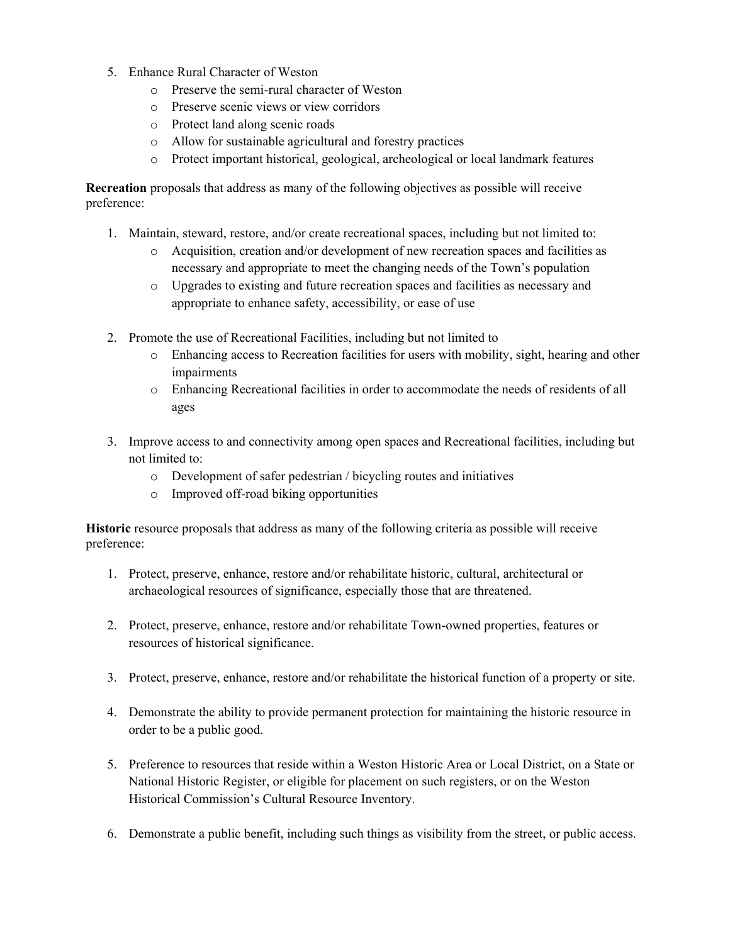- 5. Enhance Rural Character of Weston
	- o Preserve the semi-rural character of Weston
	- o Preserve scenic views or view corridors
	- o Protect land along scenic roads
	- o Allow for sustainable agricultural and forestry practices
	- o Protect important historical, geological, archeological or local landmark features

**Recreation** proposals that address as many of the following objectives as possible will receive preference:

- 1. Maintain, steward, restore, and/or create recreational spaces, including but not limited to:
	- o Acquisition, creation and/or development of new recreation spaces and facilities as necessary and appropriate to meet the changing needs of the Town's population
	- o Upgrades to existing and future recreation spaces and facilities as necessary and appropriate to enhance safety, accessibility, or ease of use
- 2. Promote the use of Recreational Facilities, including but not limited to
	- o Enhancing access to Recreation facilities for users with mobility, sight, hearing and other impairments
	- o Enhancing Recreational facilities in order to accommodate the needs of residents of all ages
- 3. Improve access to and connectivity among open spaces and Recreational facilities, including but not limited to:
	- o Development of safer pedestrian / bicycling routes and initiatives
	- o Improved off-road biking opportunities

**Historic** resource proposals that address as many of the following criteria as possible will receive preference:

- 1. Protect, preserve, enhance, restore and/or rehabilitate historic, cultural, architectural or archaeological resources of significance, especially those that are threatened.
- 2. Protect, preserve, enhance, restore and/or rehabilitate Town-owned properties, features or resources of historical significance.
- 3. Protect, preserve, enhance, restore and/or rehabilitate the historical function of a property or site.
- 4. Demonstrate the ability to provide permanent protection for maintaining the historic resource in order to be a public good.
- 5. Preference to resources that reside within a Weston Historic Area or Local District, on a State or National Historic Register, or eligible for placement on such registers, or on the Weston Historical Commission's Cultural Resource Inventory.
- 6. Demonstrate a public benefit, including such things as visibility from the street, or public access.